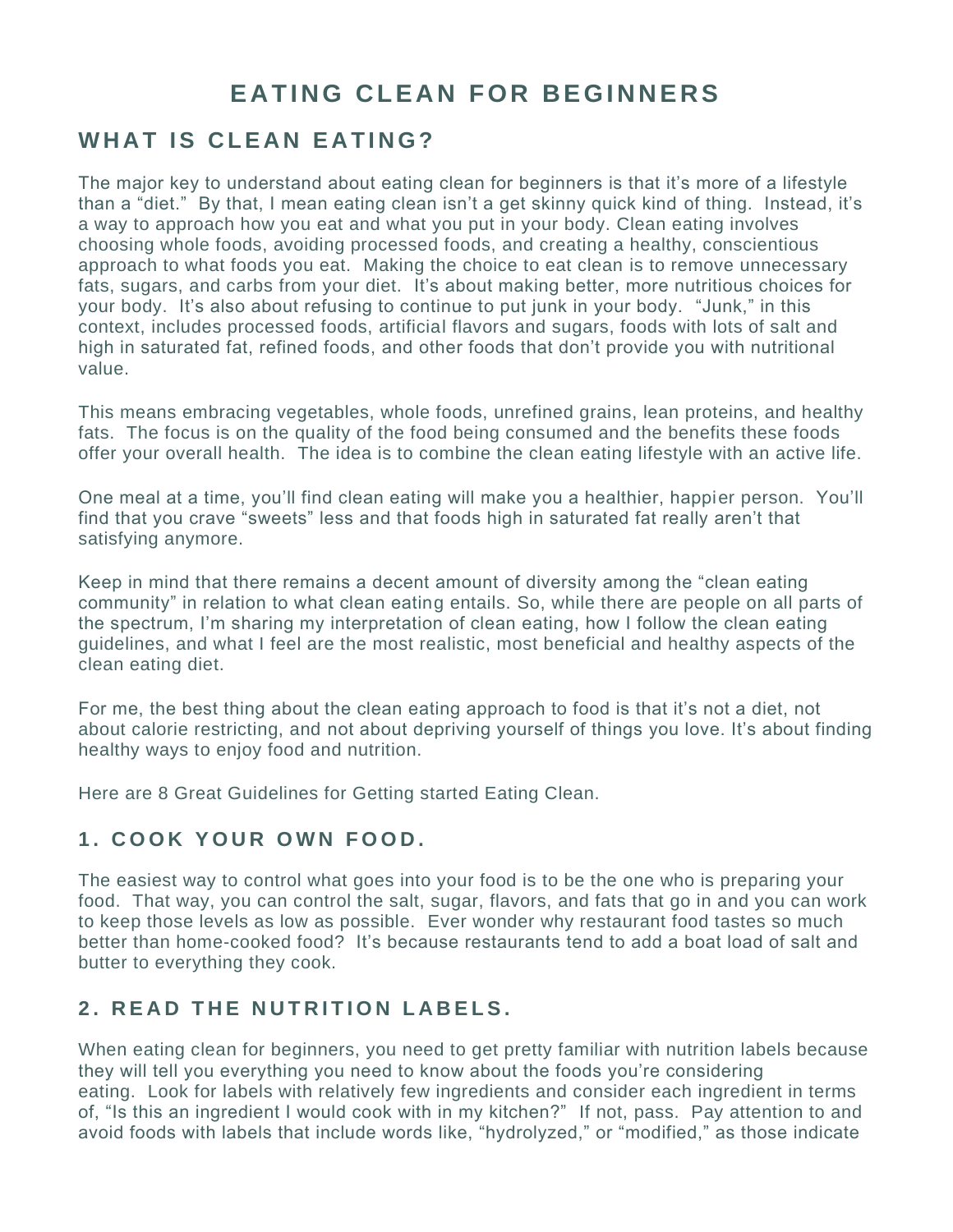# **EATING CLEAN FOR BEGINNERS**

## **WHAT IS CLEAN EATING?**

The major key to understand about eating clean for beginners is that it's more of a lifestyle than a "diet." By that, I mean eating clean isn't a get skinny quick kind of thing. Instead, it's a way to approach how you eat and what you put in your body. Clean eating involves choosing whole foods, avoiding processed foods, and creating a healthy, conscientious approach to what foods you eat. Making the choice to eat clean is to remove unnecessary fats, sugars, and carbs from your diet. It's about making better, more nutritious choices for your body. It's also about refusing to continue to put junk in your body. "Junk," in this context, includes processed foods, artificial flavors and sugars, foods with lots of salt and high in saturated fat, refined foods, and other foods that don't provide you with nutritional value.

This means embracing vegetables, whole foods, unrefined grains, lean proteins, and healthy fats. The focus is on the quality of the food being consumed and the benefits these foods offer your overall health. The idea is to combine the clean eating lifestyle with an active life.

One meal at a time, you'll find clean eating will make you a healthier, happier person. You'll find that you crave "sweets" less and that foods high in saturated fat really aren't that satisfying anymore.

Keep in mind that there remains a decent amount of diversity among the "clean eating community" in relation to what clean eating entails. So, while there are people on all parts of the spectrum, I'm sharing my interpretation of clean eating, how I follow the clean eating guidelines, and what I feel are the most realistic, most beneficial and healthy aspects of the clean eating diet.

For me, the best thing about the clean eating approach to food is that it's not a diet, not about calorie restricting, and not about depriving yourself of things you love. It's about finding healthy ways to enjoy food and nutrition.

Here are 8 Great Guidelines for Getting started Eating Clean.

#### **1. COOK YOUR OWN FOOD.**

The easiest way to control what goes into your food is to be the one who is preparing your food. That way, you can control the salt, sugar, flavors, and fats that go in and you can work to keep those levels as low as possible. Ever wonder why restaurant food tastes so much better than home-cooked food? It's because restaurants tend to add a boat load of salt and butter to everything they cook.

#### **2. READ THE NUTRITION LABELS.**

When eating clean for beginners, you need to get pretty familiar with nutrition labels because they will tell you everything you need to know about the foods you're considering eating. Look for labels with relatively few ingredients and consider each ingredient in terms of, "Is this an ingredient I would cook with in my kitchen?" If not, pass. Pay attention to and avoid foods with labels that include words like, "hydrolyzed," or "modified," as those indicate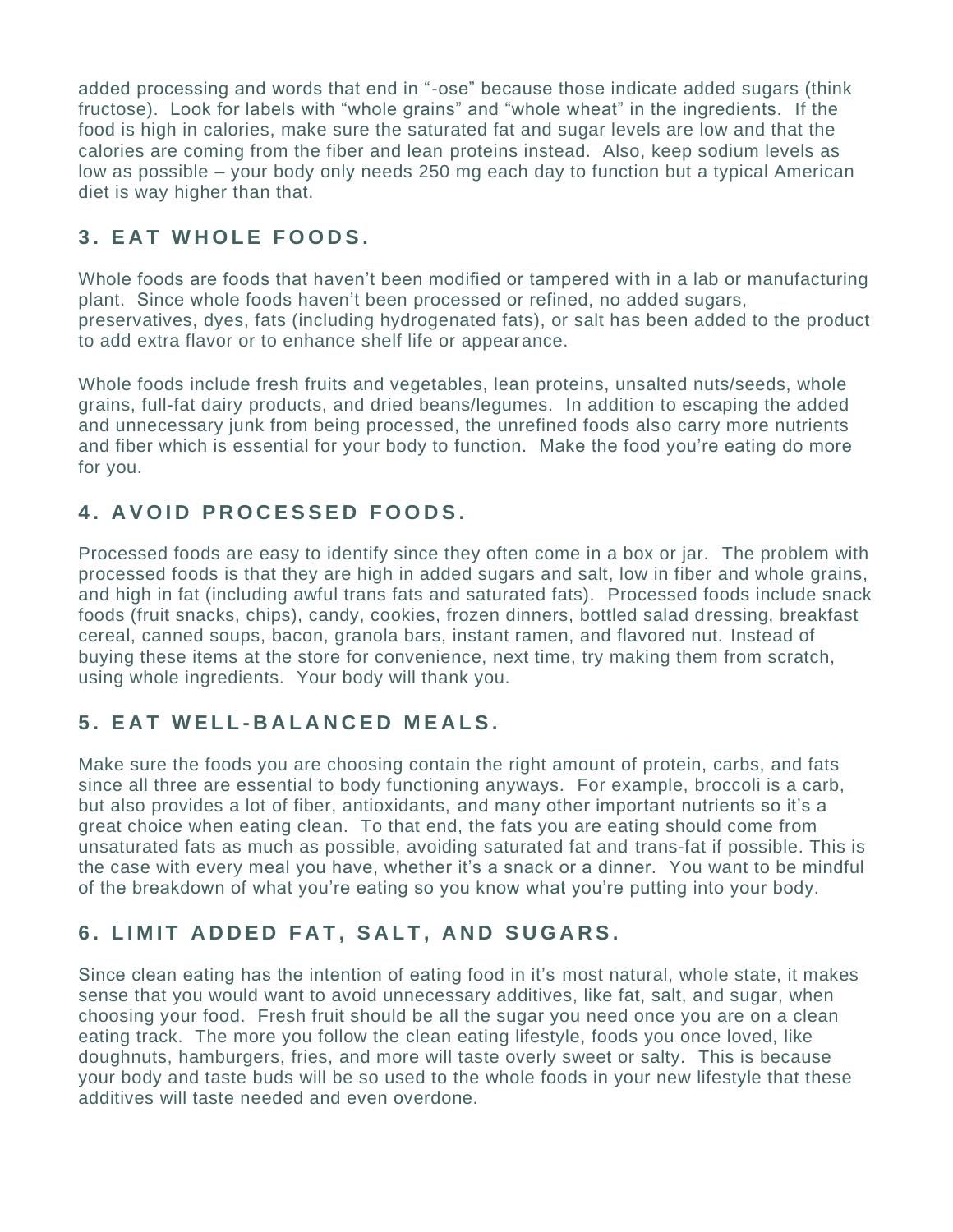added processing and words that end in "-ose" because those indicate added sugars (think fructose). Look for labels with "whole grains" and "whole wheat" in the ingredients. If the food is high in calories, make sure the saturated fat and sugar levels are low and that the calories are coming from the fiber and lean proteins instead. Also, keep sodium levels as low as possible – your body only needs 250 mg each day to function but a typical American diet is way higher than that.

### **3. EAT WHOLE FOODS.**

Whole foods are foods that haven't been modified or tampered with in a lab or manufacturing plant. Since whole foods haven't been processed or refined, no added sugars, preservatives, dyes, fats (including hydrogenated fats), or salt has been added to the product to add extra flavor or to enhance shelf life or appearance.

Whole foods include fresh fruits and vegetables, lean proteins, unsalted nuts/seeds, whole grains, full-fat dairy products, and dried beans/legumes. In addition to escaping the added and unnecessary junk from being processed, the unrefined foods also carry more nutrients and fiber which is essential for your body to function. Make the food you're eating do more for you.

### **4. AVOID PROCESSED FOODS.**

Processed foods are easy to identify since they often come in a box or jar. The problem with processed foods is that they are high in added sugars and salt, low in fiber and whole grains, and high in fat (including awful trans fats and saturated fats). Processed foods include snack foods (fruit snacks, chips), candy, cookies, frozen dinners, bottled salad dressing, breakfast cereal, canned soups, bacon, granola bars, instant ramen, and flavored nut. Instead of buying these items at the store for convenience, next time, try making them from scratch, using whole ingredients. Your body will thank you.

#### **5. E A T W E L L - BALANCED MEALS.**

Make sure the foods you are choosing contain the right amount of protein, carbs, and fats since all three are essential to body functioning anyways. For example, broccoli is a carb, but also provides a lot of fiber, antioxidants, and many other important nutrients so it's a great choice when eating clean. To that end, the fats you are eating should come from unsaturated fats as much as possible, avoiding saturated fat and trans-fat if possible. This is the case with every meal you have, whether it's a snack or a dinner. You want to be mindful of the breakdown of what you're eating so you know what you're putting into your body.

#### **6. LIMIT ADDED FAT, SALT, AND SUGARS.**

Since clean eating has the intention of eating food in it's most natural, whole state, it makes sense that you would want to avoid unnecessary additives, like fat, salt, and sugar, when choosing your food. Fresh fruit should be all the sugar you need once you are on a clean eating track. The more you follow the clean eating lifestyle, foods you once loved, like doughnuts, hamburgers, fries, and more will taste overly sweet or salty. This is because your body and taste buds will be so used to the whole foods in your new lifestyle that these additives will taste needed and even overdone.